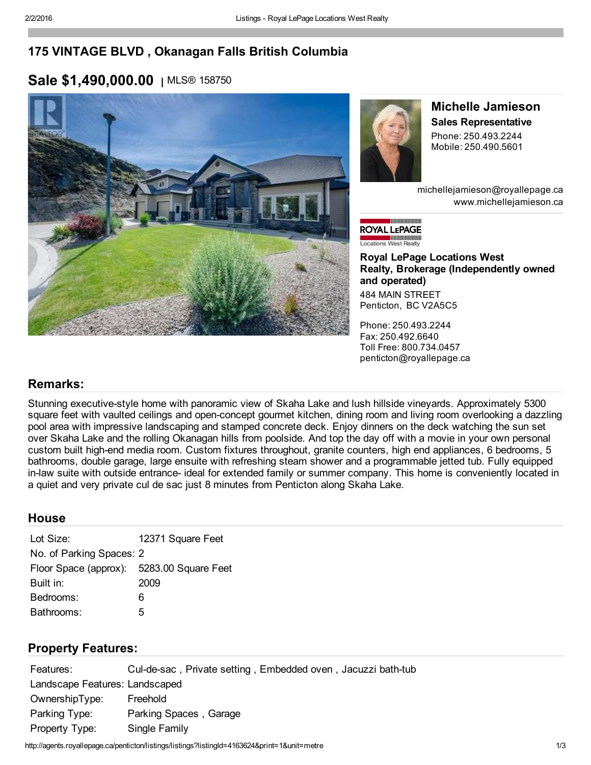## 175 VINTAGE BLVD , Okanagan Falls British Columbia

## Sale \$1,490,000.00 | MLS® 158750





#### Michelle Jamieson Sales Representative Phone: 250.493.2244

Mobile: 250.490.5601

michellejamieson@royallepage.ca www.michellejamieson.ca

**MANUTANI MANUT ROYAL LEPAGE Exercía de Millimoniones**<br>Locations West Realty

#### Royal LePage Locations West Realty, Brokerage (Independently owned and operated)

484 MAIN STREET Penticton, BC V2A5C5

Phone: 250.493.2244 Fax: 250.492.6640 Toll Free: 800.734.0457 penticton@royallepage.ca

## Remarks:

Stunning executive-style home with panoramic view of Skaha Lake and lush hillside vineyards. Approximately 5300 square feet with vaulted ceilings and open-concept gourmet kitchen, dining room and living room overlooking a dazzling pool area with impressive landscaping and stamped concrete deck. Enjoy dinners on the deck watching the sun set over Skaha Lake and the rolling Okanagan hills from poolside. And top the day off with a movie in your own personal custom built highend media room. Custom fixtures throughout, granite counters, high end appliances, 6 bedrooms, 5 bathrooms, double garage, large ensuite with refreshing steam shower and a programmable jetted tub. Fully equipped in-law suite with outside entrance- ideal for extended family or summer company. This home is conveniently located in a quiet and very private cul de sac just 8 minutes from Penticton along Skaha Lake.

## **House**

| Lot Size:                                 | 12371 Square Feet |  |  |  |
|-------------------------------------------|-------------------|--|--|--|
| No. of Parking Spaces: 2                  |                   |  |  |  |
| Floor Space (approx): 5283.00 Square Feet |                   |  |  |  |
| Built in:                                 | 2009              |  |  |  |
| Bedrooms:                                 | 6                 |  |  |  |
| Bathrooms:                                | 5                 |  |  |  |

## Property Features:

| Features:                      | Cul-de-sac, Private setting, Embedded oven, Jacuzzi bath-tub |  |  |
|--------------------------------|--------------------------------------------------------------|--|--|
| Landscape Features: Landscaped |                                                              |  |  |
| OwnershipType:                 | Freehold                                                     |  |  |
| Parking Type:                  | Parking Spaces, Garage                                       |  |  |
| Property Type:                 | Single Family                                                |  |  |

http://agents.royallepage.ca/penticton/listings/listings?listingId=4163624&print=1&unit=metre 1/3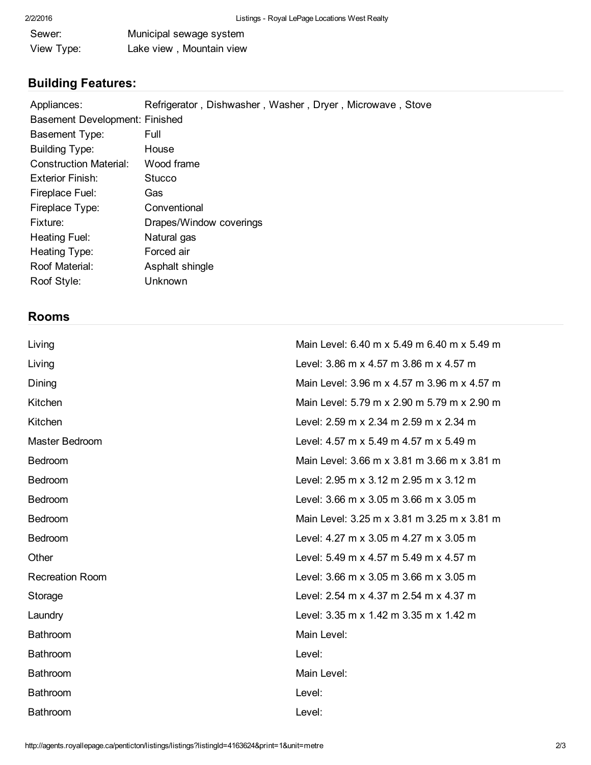| Sewer:     | Municipal sewage system  |  |
|------------|--------------------------|--|
| View Type: | Lake view, Mountain view |  |

# Building Features:

| Appliances:                    | Refrigerator, Dishwasher, Washer, Dryer, Microwave, Stove |  |
|--------------------------------|-----------------------------------------------------------|--|
| Basement Development: Finished |                                                           |  |
| <b>Basement Type:</b>          | Full                                                      |  |
| <b>Building Type:</b>          | House                                                     |  |
| <b>Construction Material:</b>  | Wood frame                                                |  |
| <b>Exterior Finish:</b>        | Stucco                                                    |  |
| Fireplace Fuel:                | Gas                                                       |  |
| Fireplace Type:                | Conventional                                              |  |
| Fixture:                       | Drapes/Window coverings                                   |  |
| Heating Fuel:                  | Natural gas                                               |  |
| Heating Type:                  | Forced air                                                |  |
| Roof Material:                 | Asphalt shingle                                           |  |
| Roof Style:                    | Unknown                                                   |  |

## Rooms

| Living                 | Main Level: 6.40 m x 5.49 m 6.40 m x 5.49 m    |
|------------------------|------------------------------------------------|
| Living                 | Level: 3.86 m x 4.57 m 3.86 m x 4.57 m         |
| Dining                 | Main Level: 3.96 m x 4.57 m 3.96 m x 4.57 m    |
| Kitchen                | Main Level: 5.79 m x 2.90 m 5.79 m x 2.90 m    |
| Kitchen                | Level: 2.59 m x 2.34 m 2.59 m x 2.34 m         |
| Master Bedroom         | Level: 4.57 m x 5.49 m 4.57 m x 5.49 m         |
| <b>Bedroom</b>         | Main Level: 3.66 m x 3.81 m 3.66 m x 3.81 m    |
| <b>Bedroom</b>         | Level: 2.95 m x 3.12 m 2.95 m x 3.12 m         |
| <b>Bedroom</b>         | Level: 3.66 m x 3.05 m 3.66 m x 3.05 m         |
| Bedroom                | Main Level: 3.25 m x 3.81 m 3.25 m x 3.81 m    |
| <b>Bedroom</b>         | Level: 4.27 m x 3.05 m 4.27 m x 3.05 m         |
| Other                  | Level: 5.49 m x 4.57 m 5.49 m x 4.57 m         |
| <b>Recreation Room</b> | Level: $3.66$ m x $3.05$ m $3.66$ m x $3.05$ m |
| Storage                | Level: 2.54 m x 4.37 m 2.54 m x 4.37 m         |
| Laundry                | Level: 3.35 m x 1.42 m 3.35 m x 1.42 m         |
| Bathroom               | Main Level:                                    |
| <b>Bathroom</b>        | Level:                                         |
| <b>Bathroom</b>        | Main Level:                                    |
| <b>Bathroom</b>        | Level:                                         |
| <b>Bathroom</b>        | Level:                                         |
|                        |                                                |